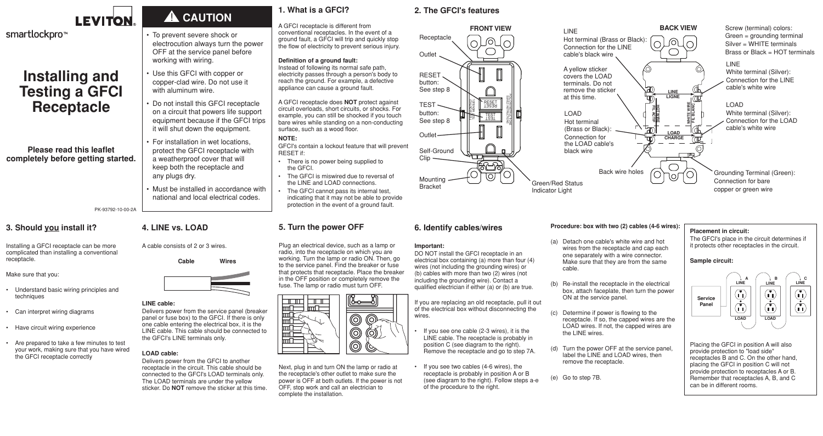| <b>LEVITON.</b>                                                       | <b>A CAUTION</b>                                                                                                                                             |
|-----------------------------------------------------------------------|--------------------------------------------------------------------------------------------------------------------------------------------------------------|
| smartlockpro™                                                         | • To prevent severe shock or<br>electrocution always turn the power<br>OFF at the service panel before<br>working with wiring.                               |
| <b>Installing and</b><br><b>Testing a GFCI</b>                        | • Use this GFCI with copper or<br>copper-clad wire. Do not use it<br>with aluminum wire.                                                                     |
| <b>Receptacle</b>                                                     | • Do not install this GFCI receptacle<br>on a circuit that powers life support<br>equipment because if the GFCI trips<br>it will shut down the equipment.    |
| <b>Please read this leaflet</b><br>completely before getting started. | • For installation in wet locations,<br>protect the GFCI receptacle with<br>a weatherproof cover that will<br>keep both the receptacle and<br>any plugs dry. |
| PK-93792-10-00-2A                                                     | Must be installed in accordance with<br>$\bullet$<br>national and local electrical codes.                                                                    |
|                                                                       |                                                                                                                                                              |

# **1. What is a GFCI?**

A GFCI receptacle is different from conventional receptacles. In the event of a ground fault, a GFCI will trip and quickly stop the flow of electricity to prevent serious injury.

## **Definition of a ground fault:**

- There is no power being supplied to the GFCI.
- The GFCI is miswired due to reversal of the LINE and LOAD connections.
- The GFCI cannot pass its internal test, indicating that it may not be able to provide protection in the event of a ground fault.

Instead of following its normal safe path, electricity passes through a person's body to reach the ground. For example, a defective appliance can cause a ground fault.

A GFCI receptacle does **NOT** protect against circuit overloads, short circuits, or shocks. For example, you can still be shocked if you touch bare wires while standing on a non-conducting surface, such as a wood floor.

## **NOTE:**

GFCI's contain a lockout feature that will prevent RESET if:

# **2. The GFCI's features**

# **3. Should you install it?**

Installing a GFCI receptacle can be more complicated than installing a conventional receptacle.

Make sure that you:

- Understand basic wiring principles and techniques
- Can interpret wiring diagrams
- Have circuit wiring experience
- Are prepared to take a few minutes to test your work, making sure that you have wired the GFCI receptacle correctly

**4. LINE vs. LOAD**

A cable consists of 2 or 3 wires.

**Cable Wires**

**LINE cable:**

Delivers power from the service panel (breaker panel or fuse box) to the GFCI. If there is only one cable entering the electrical box, it is the LINE cable. This cable should be connected to

- If you see one cable (2-3 wires), it is the LINE cable. The receptacle is probably in position C (see diagram to the right). Remove the receptacle and go to step 7A.
- If you see two cables (4-6 wires), the receptacle is probably in position A or B (see diagram to the right). Follow steps a-e of the procedure to the right.

the GFCI's LINE terminals only.

**LOAD cable:**

Delivers power from the GFCI to another receptacle in the circuit. This cable should be connected to the GFCI's LOAD terminals only. The LOAD terminals are under the yellow sticker. Do **NOT** remove the sticker at this time. (d) Turn the power OFF at the service panel. label the LINE and LOAD wires, then

# **5. Turn the power OFF**

Plug an electrical device, such as a lamp or radio, into the receptacle on which you are working. Turn the lamp or radio ON. Then, go to the service panel. Find the breaker or fuse that protects that receptacle. Place the breaker in the OFF position or completely remove the fuse. The lamp or radio must turn OFF.



Next, plug in and turn ON the lamp or radio at the receptacle's other outlet to make sure the power is OFF at both outlets. If the power is not OFF, stop work and call an electrician to complete the installation.

## **6. Identify cables/wires**

#### **Important:**

DO NOT install the GFCI receptacle in an electrical box containing (a) more than four (4) wires (not including the grounding wires) or (b) cables with more than two (2) wires (not including the grounding wire). Contact a qualified electrician if either (a) or (b) are true.

If you are replacing an old receptacle, pull it out of the electrical box without disconnecting the wires.

#### **Procedure: box with two (2) cables (4-6 wires):**

(a) Detach one cable's white wire and hot wires from the receptacle and cap each one separately with a wire connector. Make sure that they are from the same

(b) Re-install the receptacle in the electrical box, attach faceplate, then turn the power

- cable.
- ON at the service panel.
- (c) Determine if power is flowing to the the LINE wires.
- remove the receptacle.
- (e) Go to step 7B.







receptacle. If so, the capped wires are the LOAD wires. If not, the capped wires are

#### **Placement in circuit:**

The GFCI's place in the circuit determines if it protects other receptacles in the circuit.

#### **Sample circuit:**

Placing the GFCI in position A will also provide protection to "load side" receptacles B and C. On the other hand, placing the GFCI in position C will not provide protection to receptacles A or B. Remember that receptacles A, B, and C can be in different rooms.



# **FRONT VIEW**

Green/Red Status Indicator Light





#### LINE

Connection for the LINE cable's black wire

A yellow sticker covers the LOAD terminals. Do not remove the sticker at this time.

#### LOAD

Hot terminal (Brass or Black): the LOAD cable's black wire